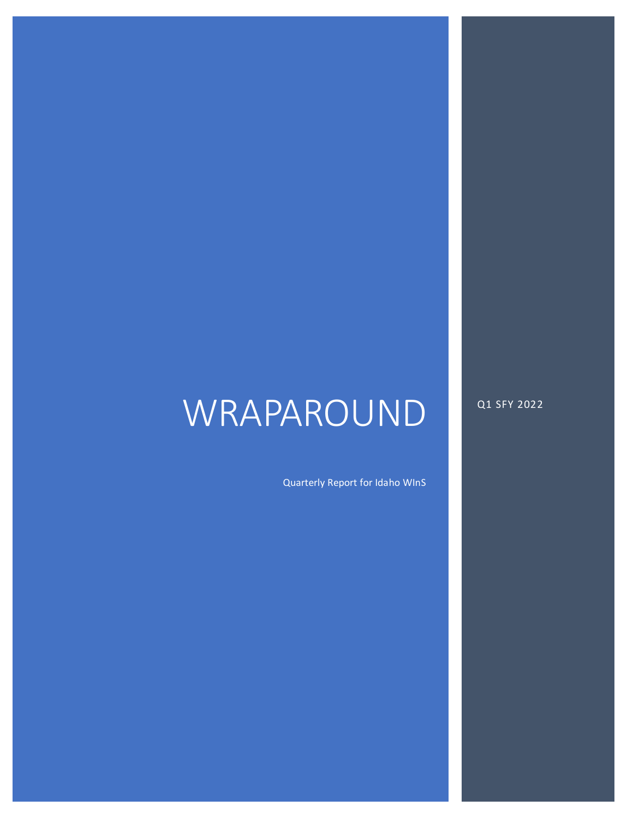# WRAPAROUND

Q1 SFY 2022

Quarterly Report for Idaho WInS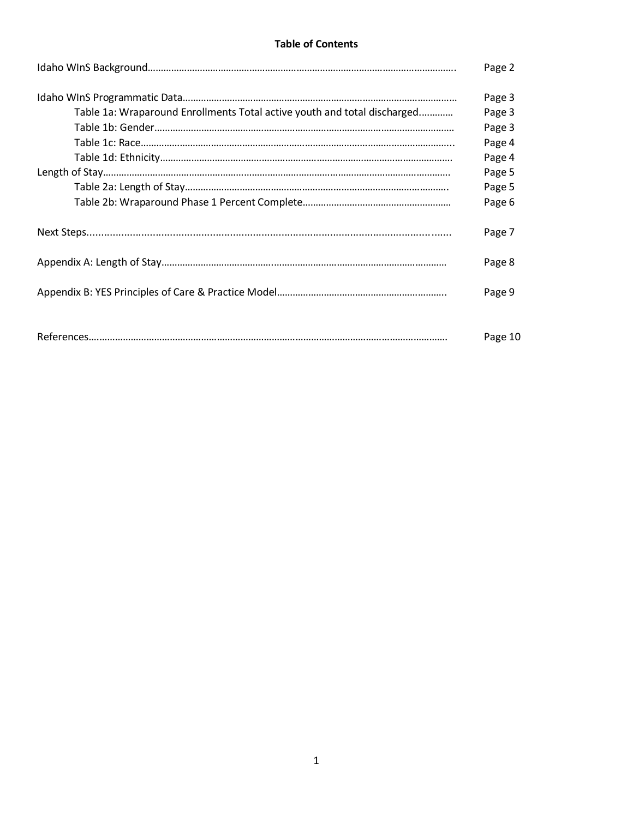## **Table of Contents**

|                                                                          | Page 2  |
|--------------------------------------------------------------------------|---------|
|                                                                          | Page 3  |
| Table 1a: Wraparound Enrollments Total active youth and total discharged | Page 3  |
|                                                                          | Page 3  |
|                                                                          | Page 4  |
|                                                                          | Page 4  |
|                                                                          | Page 5  |
|                                                                          | Page 5  |
|                                                                          | Page 6  |
|                                                                          | Page 7  |
|                                                                          | Page 8  |
|                                                                          | Page 9  |
|                                                                          | Page 10 |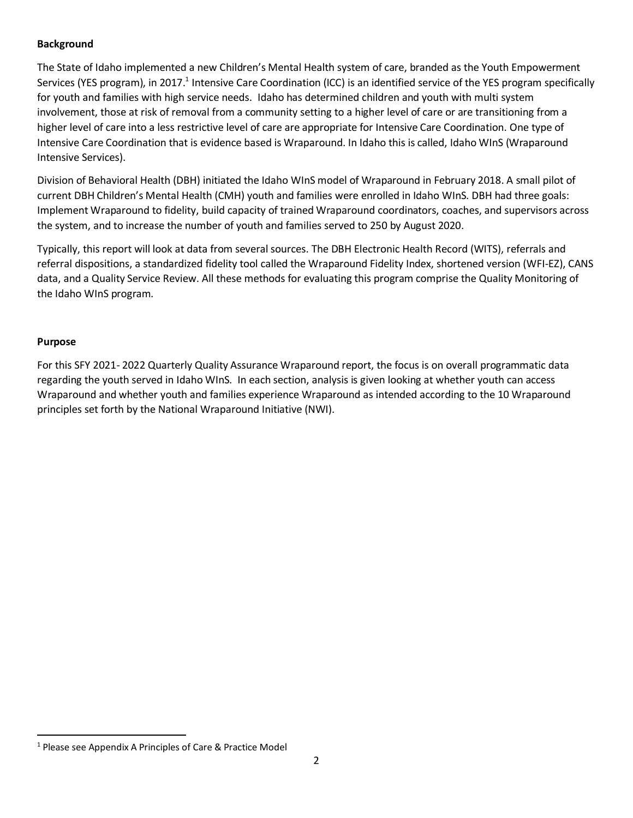### **Background**

The State of Idaho implemented a new Children's Mental Health system of care, branded as the Youth Empowerment Services (YES program), in 2017.<sup>1</sup> Intensive Care Coordination (ICC) is an identified service of the YES program specifically for youth and families with high service needs. Idaho has determined children and youth with multi system involvement, those at risk of removal from a community setting to a higher level of care or are transitioning from a higher level of care into a less restrictive level of care are appropriate for Intensive Care Coordination. One type of Intensive Care Coordination that is evidence based is Wraparound. In Idaho this is called, Idaho WInS (Wraparound Intensive Services).

Division of Behavioral Health (DBH) initiated the Idaho WInS model of Wraparound in February 2018. A small pilot of current DBH Children's Mental Health (CMH) youth and families were enrolled in Idaho WInS. DBH had three goals: Implement Wraparound to fidelity, build capacity of trained Wraparound coordinators, coaches, and supervisors across the system, and to increase the number of youth and families served to 250 by August 2020.

Typically, this report will look at data from several sources. The DBH Electronic Health Record (WITS), referrals and referral dispositions, a standardized fidelity tool called the Wraparound Fidelity Index, shortened version (WFI-EZ), CANS data, and a Quality Service Review. All these methods for evaluating this program comprise the Quality Monitoring of the Idaho WInS program.

### **Purpose**

 $\overline{a}$ 

For this SFY 2021- 2022 Quarterly Quality Assurance Wraparound report, the focus is on overall programmatic data regarding the youth served in Idaho WInS. In each section, analysis is given looking at whether youth can access Wraparound and whether youth and families experience Wraparound as intended according to the 10 Wraparound principles set forth by the National Wraparound Initiative (NWI).

<sup>1</sup> Please see Appendix A Principles of Care & Practice Model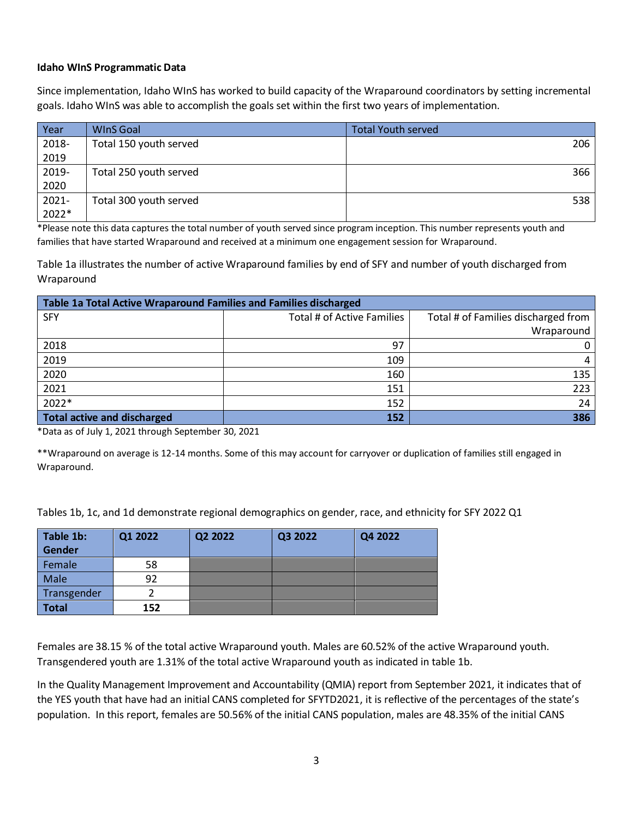#### **Idaho WInS Programmatic Data**

Since implementation, Idaho WInS has worked to build capacity of the Wraparound coordinators by setting incremental goals. Idaho WInS was able to accomplish the goals set within the first two years of implementation.

| Year     | <b>WInS</b> Goal       | <b>Total Youth served</b> |
|----------|------------------------|---------------------------|
| 2018-    | Total 150 youth served | 206                       |
| 2019     |                        |                           |
| 2019-    | Total 250 youth served | 366                       |
| 2020     |                        |                           |
| $2021 -$ | Total 300 youth served | 538                       |
| 2022*    |                        |                           |

\*Please note this data captures the total number of youth served since program inception. This number represents youth and families that have started Wraparound and received at a minimum one engagement session for Wraparound.

Table 1a illustrates the number of active Wraparound families by end of SFY and number of youth discharged from Wraparound

| Table 1a Total Active Wraparound Families and Families discharged |                            |                                     |  |  |  |  |
|-------------------------------------------------------------------|----------------------------|-------------------------------------|--|--|--|--|
| <b>SFY</b>                                                        | Total # of Active Families | Total # of Families discharged from |  |  |  |  |
|                                                                   |                            | Wraparound                          |  |  |  |  |
| 2018                                                              | 97                         | $\mathbf{0}$                        |  |  |  |  |
| 2019                                                              | 109                        | 4                                   |  |  |  |  |
| 2020                                                              | 160                        | 135                                 |  |  |  |  |
| 2021                                                              | 151                        | 223                                 |  |  |  |  |
| 2022*                                                             | 152                        | 24                                  |  |  |  |  |
| <b>Total active and discharged</b>                                | 152                        | 386                                 |  |  |  |  |

\*Data as of July 1, 2021 through September 30, 2021

\*\*Wraparound on average is 12-14 months. Some of this may account for carryover or duplication of families still engaged in Wraparound.

Tables 1b, 1c, and 1d demonstrate regional demographics on gender, race, and ethnicity for SFY 2022 Q1

| Table 1b:    | Q1 2022 | Q2 2022 | Q3 2022 | Q4 2022 |
|--------------|---------|---------|---------|---------|
| Gender       |         |         |         |         |
| Female       | 58      |         |         |         |
| Male         | 92      |         |         |         |
| Transgender  |         |         |         |         |
| <b>Total</b> | 152     |         |         |         |

Females are 38.15 % of the total active Wraparound youth. Males are 60.52% of the active Wraparound youth. Transgendered youth are 1.31% of the total active Wraparound youth as indicated in table 1b.

In the Quality Management Improvement and Accountability (QMIA) report from September 2021, it indicates that of the YES youth that have had an initial CANS completed for SFYTD2021, it is reflective of the percentages of the state's population. In this report, females are 50.56% of the initial CANS population, males are 48.35% of the initial CANS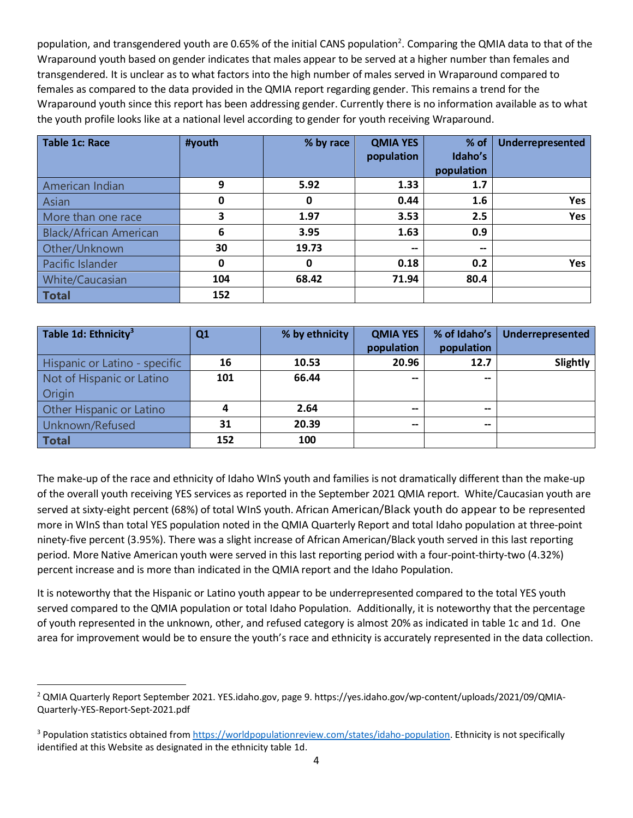population, and transgendered youth are 0.65% of the initial CANS population<sup>2</sup>. Comparing the QMIA data to that of the Wraparound youth based on gender indicates that males appear to be served at a higher number than females and transgendered. It is unclear as to what factors into the high number of males served in Wraparound compared to females as compared to the data provided in the QMIA report regarding gender. This remains a trend for the Wraparound youth since this report has been addressing gender. Currently there is no information available as to what the youth profile looks like at a national level according to gender for youth receiving Wraparound.

| <b>Table 1c: Race</b>         | #youth      | % by race | <b>QMIA YES</b> | % of              | Underrepresented |
|-------------------------------|-------------|-----------|-----------------|-------------------|------------------|
|                               |             |           | population      | Idaho's           |                  |
|                               |             |           |                 | population        |                  |
| American Indian               | 9           | 5.92      | 1.33            | 1.7               |                  |
| Asian                         | 0           | 0         | 0.44            | 1.6               | <b>Yes</b>       |
| More than one race            | 3           | 1.97      | 3.53            | 2.5               | Yes              |
| <b>Black/African American</b> | 6           | 3.95      | 1.63            | 0.9               |                  |
| Other/Unknown                 | 30          | 19.73     | --              | $\hspace{0.05cm}$ |                  |
| Pacific Islander              | $\mathbf 0$ | 0         | 0.18            | 0.2               | Yes              |
| White/Caucasian               | 104         | 68.42     | 71.94           | 80.4              |                  |
| <b>Total</b>                  | 152         |           |                 |                   |                  |

| Table 1d: Ethnicity <sup>3</sup> | Q <sub>1</sub> | % by ethnicity | <b>QMIA YES</b>          | % of Idaho's | Underrepresented |
|----------------------------------|----------------|----------------|--------------------------|--------------|------------------|
|                                  |                |                | population               | population   |                  |
| Hispanic or Latino - specific    | 16             | 10.53          | 20.96                    | 12.7         | Slightly         |
| Not of Hispanic or Latino        | 101            | 66.44          | $\overline{\phantom{a}}$ | $-$          |                  |
| Origin                           |                |                |                          |              |                  |
| <b>Other Hispanic or Latino</b>  |                | 2.64           | --                       | $- -$        |                  |
| Unknown/Refused                  | 31             | 20.39          | $- -$                    | $- -$        |                  |
| <b>Total</b>                     | 152            | 100            |                          |              |                  |

The make-up of the race and ethnicity of Idaho WInS youth and families is not dramatically different than the make-up of the overall youth receiving YES services as reported in the September 2021 QMIA report. White/Caucasian youth are served at sixty-eight percent (68%) of total WInS youth. African American/Black youth do appear to be represented more in WInS than total YES population noted in the QMIA Quarterly Report and total Idaho population at three-point ninety-five percent (3.95%). There was a slight increase of African American/Black youth served in this last reporting period. More Native American youth were served in this last reporting period with a four-point-thirty-two (4.32%) percent increase and is more than indicated in the QMIA report and the Idaho Population.

It is noteworthy that the Hispanic or Latino youth appear to be underrepresented compared to the total YES youth served compared to the QMIA population or total Idaho Population. Additionally, it is noteworthy that the percentage of youth represented in the unknown, other, and refused category is almost 20% as indicated in table 1c and 1d. One area for improvement would be to ensure the youth's race and ethnicity is accurately represented in the data collection.

 $\overline{a}$ <sup>2</sup> QMIA Quarterly Report September 2021. YES.idaho.gov, page 9. https://yes.idaho.gov/wp-content/uploads/2021/09/QMIA-Quarterly-YES-Report-Sept-2021.pdf

<sup>3</sup> Population statistics obtained fro[m https://worldpopulationreview.com/states/idaho-population.](https://worldpopulationreview.com/states/idaho-population) Ethnicity is not specifically identified at this Website as designated in the ethnicity table 1d.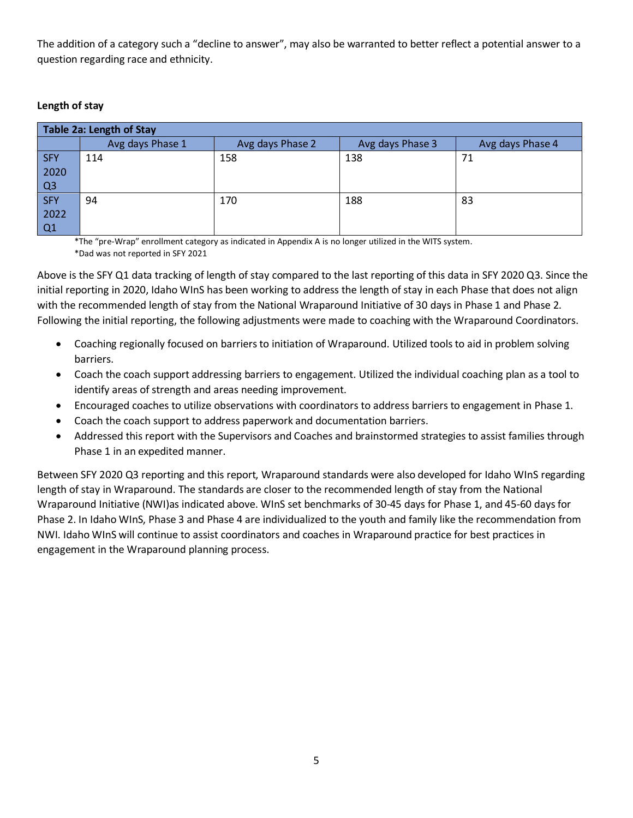The addition of a category such a "decline to answer", may also be warranted to better reflect a potential answer to a question regarding race and ethnicity.

## **Length of stay**

| Table 2a: Length of Stay |                  |                  |                  |                  |  |  |  |  |  |
|--------------------------|------------------|------------------|------------------|------------------|--|--|--|--|--|
|                          | Avg days Phase 1 | Avg days Phase 2 | Avg days Phase 3 | Avg days Phase 4 |  |  |  |  |  |
| <b>SFY</b>               | 114              | 158              | 138              | 71               |  |  |  |  |  |
| 2020                     |                  |                  |                  |                  |  |  |  |  |  |
| Q <sub>3</sub>           |                  |                  |                  |                  |  |  |  |  |  |
| <b>SFY</b>               | 94               | 170              | 188              | 83               |  |  |  |  |  |
| 2022                     |                  |                  |                  |                  |  |  |  |  |  |
| Q1                       |                  |                  |                  |                  |  |  |  |  |  |

\*The "pre-Wrap" enrollment category as indicated in Appendix A is no longer utilized in the WITS system. \*Dad was not reported in SFY 2021

Above is the SFY Q1 data tracking of length of stay compared to the last reporting of this data in SFY 2020 Q3. Since the initial reporting in 2020, Idaho WInS has been working to address the length of stay in each Phase that does not align with the recommended length of stay from the National Wraparound Initiative of 30 days in Phase 1 and Phase 2. Following the initial reporting, the following adjustments were made to coaching with the Wraparound Coordinators.

- Coaching regionally focused on barriers to initiation of Wraparound. Utilized tools to aid in problem solving barriers.
- Coach the coach support addressing barriers to engagement. Utilized the individual coaching plan as a tool to identify areas of strength and areas needing improvement.
- Encouraged coaches to utilize observations with coordinators to address barriers to engagement in Phase 1.
- Coach the coach support to address paperwork and documentation barriers.
- Addressed this report with the Supervisors and Coaches and brainstormed strategies to assist families through Phase 1 in an expedited manner.

Between SFY 2020 Q3 reporting and this report, Wraparound standards were also developed for Idaho WInS regarding length of stay in Wraparound. The standards are closer to the recommended length of stay from the National Wraparound Initiative (NWI)as indicated above. WInS set benchmarks of 30-45 days for Phase 1, and 45-60 days for Phase 2. In Idaho WInS, Phase 3 and Phase 4 are individualized to the youth and family like the recommendation from NWI. Idaho WInS will continue to assist coordinators and coaches in Wraparound practice for best practices in engagement in the Wraparound planning process.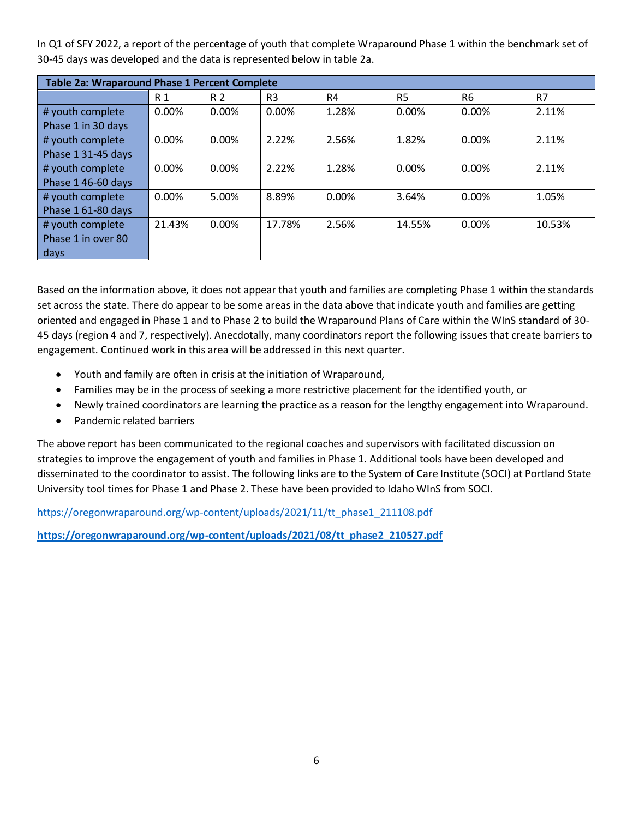In Q1 of SFY 2022, a report of the percentage of youth that complete Wraparound Phase 1 within the benchmark set of 30-45 days was developed and the data is represented below in table 2a.

| Table 2a: Wraparound Phase 1 Percent Complete |          |                |                |       |                |                |        |
|-----------------------------------------------|----------|----------------|----------------|-------|----------------|----------------|--------|
|                                               | R 1      | R <sub>2</sub> | R <sub>3</sub> | R4    | R <sub>5</sub> | R <sub>6</sub> | R7     |
| # youth complete                              | 0.00%    | $0.00\%$       | 0.00%          | 1.28% | 0.00%          | 0.00%          | 2.11%  |
| Phase 1 in 30 days                            |          |                |                |       |                |                |        |
| # youth complete                              | 0.00%    | $0.00\%$       | 2.22%          | 2.56% | 1.82%          | 0.00%          | 2.11%  |
| Phase 1 31-45 days                            |          |                |                |       |                |                |        |
| # youth complete                              | $0.00\%$ | 0.00%          | 2.22%          | 1.28% | 0.00%          | 0.00%          | 2.11%  |
| Phase 1 46-60 days                            |          |                |                |       |                |                |        |
| # youth complete                              | 0.00%    | 5.00%          | 8.89%          | 0.00% | 3.64%          | 0.00%          | 1.05%  |
| Phase 1 61-80 days                            |          |                |                |       |                |                |        |
| # youth complete                              | 21.43%   | 0.00%          | 17.78%         | 2.56% | 14.55%         | 0.00%          | 10.53% |
| Phase 1 in over 80                            |          |                |                |       |                |                |        |
| days                                          |          |                |                |       |                |                |        |

Based on the information above, it does not appear that youth and families are completing Phase 1 within the standards set across the state. There do appear to be some areas in the data above that indicate youth and families are getting oriented and engaged in Phase 1 and to Phase 2 to build the Wraparound Plans of Care within the WInS standard of 30- 45 days (region 4 and 7, respectively). Anecdotally, many coordinators report the following issues that create barriers to engagement. Continued work in this area will be addressed in this next quarter.

- Youth and family are often in crisis at the initiation of Wraparound,
- Families may be in the process of seeking a more restrictive placement for the identified youth, or
- Newly trained coordinators are learning the practice as a reason for the lengthy engagement into Wraparound.
- Pandemic related barriers

The above report has been communicated to the regional coaches and supervisors with facilitated discussion on strategies to improve the engagement of youth and families in Phase 1. Additional tools have been developed and disseminated to the coordinator to assist. The following links are to the System of Care Institute (SOCI) at Portland State University tool times for Phase 1 and Phase 2. These have been provided to Idaho WInS from SOCI.

[https://oregonwraparound.org/wp-content/uploads/2021/11/tt\\_phase1\\_211108.pdf](https://oregonwraparound.org/wp-content/uploads/2021/11/tt_phase1_211108.pdf)

**[https://oregonwraparound.org/wp-content/uploads/2021/08/tt\\_phase2\\_210527.pdf](https://oregonwraparound.org/wp-content/uploads/2021/08/tt_phase2_210527.pdf)**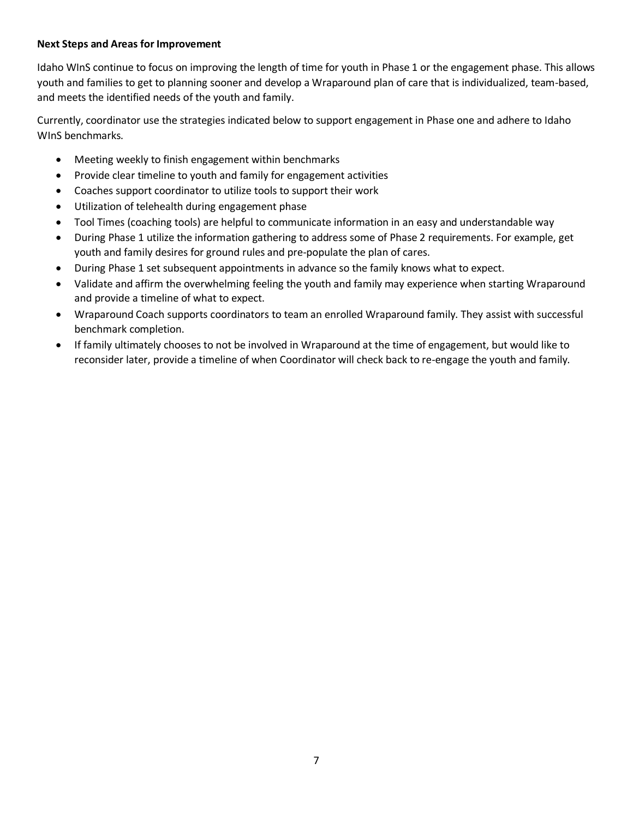#### **Next Steps and Areas for Improvement**

Idaho WInS continue to focus on improving the length of time for youth in Phase 1 or the engagement phase. This allows youth and families to get to planning sooner and develop a Wraparound plan of care that is individualized, team-based, and meets the identified needs of the youth and family.

Currently, coordinator use the strategies indicated below to support engagement in Phase one and adhere to Idaho WInS benchmarks.

- Meeting weekly to finish engagement within benchmarks
- Provide clear timeline to youth and family for engagement activities
- Coaches support coordinator to utilize tools to support their work
- Utilization of telehealth during engagement phase
- Tool Times (coaching tools) are helpful to communicate information in an easy and understandable way
- During Phase 1 utilize the information gathering to address some of Phase 2 requirements. For example, get youth and family desires for ground rules and pre-populate the plan of cares.
- During Phase 1 set subsequent appointments in advance so the family knows what to expect.
- Validate and affirm the overwhelming feeling the youth and family may experience when starting Wraparound and provide a timeline of what to expect.
- Wraparound Coach supports coordinators to team an enrolled Wraparound family. They assist with successful benchmark completion.
- If family ultimately chooses to not be involved in Wraparound at the time of engagement, but would like to reconsider later, provide a timeline of when Coordinator will check back to re-engage the youth and family.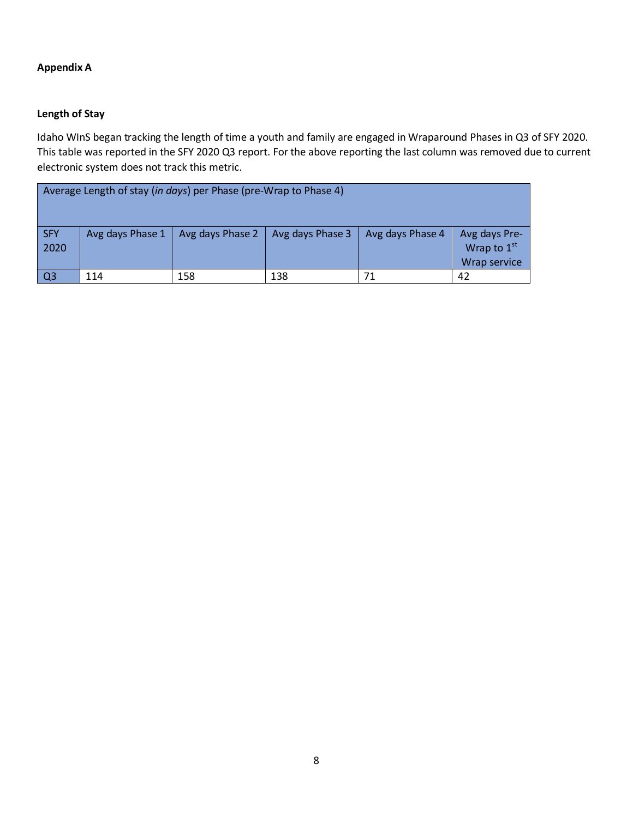## **Appendix A**

## **Length of Stay**

Idaho WInS began tracking the length of time a youth and family are engaged in Wraparound Phases in Q3 of SFY 2020. This table was reported in the SFY 2020 Q3 report. For the above reporting the last column was removed due to current electronic system does not track this metric.

| Average Length of stay (in days) per Phase (pre-Wrap to Phase 4) |                  |                  |                  |                  |                                              |  |  |
|------------------------------------------------------------------|------------------|------------------|------------------|------------------|----------------------------------------------|--|--|
| <b>SFY</b><br>2020                                               | Avg days Phase 1 | Avg days Phase 2 | Avg days Phase 3 | Avg days Phase 4 | Avg days Pre-<br>Wrap to 1st<br>Wrap service |  |  |
| Q <sub>3</sub>                                                   | 114              | 158              | 138              | 71               | 42                                           |  |  |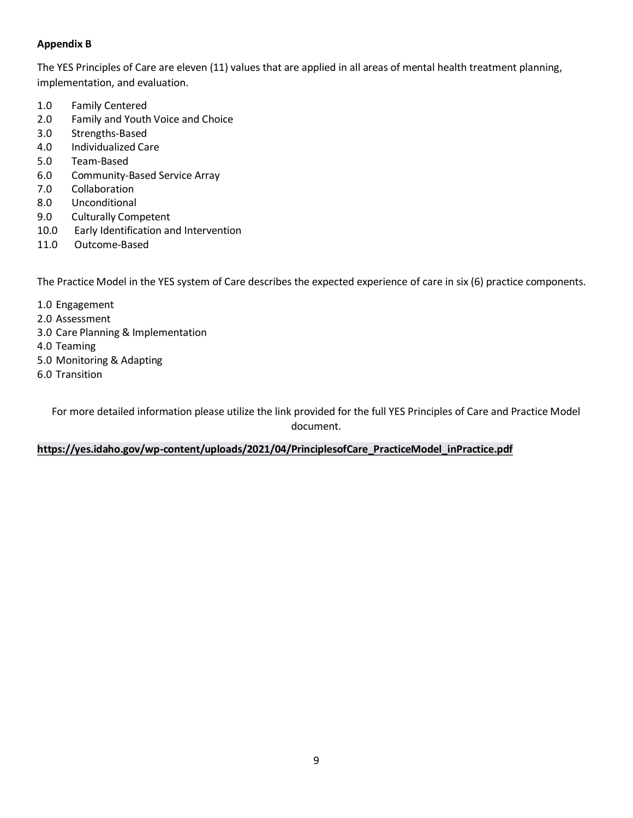## **Appendix B**

The YES Principles of Care are eleven (11) values that are applied in all areas of mental health treatment planning, implementation, and evaluation.

- 1.0 Family Centered
- 2.0 Family and Youth Voice and Choice
- 3.0 Strengths-Based
- 4.0 Individualized Care
- 5.0 Team-Based
- 6.0 Community-Based Service Array
- 7.0 Collaboration
- 8.0 Unconditional
- 9.0 Culturally Competent
- 10.0 Early Identification and Intervention
- 11.0 Outcome-Based

The Practice Model in the YES system of Care describes the expected experience of care in six (6) practice components.

- 1.0 Engagement
- 2.0 Assessment
- 3.0 Care Planning & Implementation
- 4.0 Teaming
- 5.0 Monitoring & Adapting
- 6.0 Transition

For more detailed information please utilize the link provided for the full YES Principles of Care and Practice Model document.

## **[https://yes.idaho.gov/wp-content/uploads/2021/04/PrinciplesofCare\\_PracticeModel\\_inPractice.pdf](https://yes.idaho.gov/wp-content/uploads/2021/04/PrinciplesofCare_PracticeModel_inPractice.pdf)**